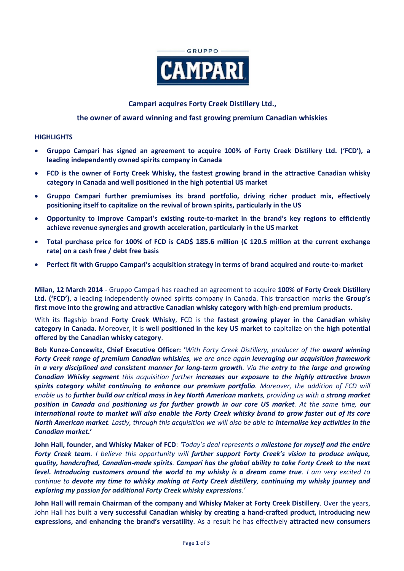

# **Campari acquires Forty Creek Distillery Ltd.,**

## **the owner of award winning and fast growing premium Canadian whiskies**

## **HIGHLIGHTS**

- **Gruppo Campari has signed an agreement to acquire 100% of Forty Creek Distillery Ltd. ('FCD'), a leading independently owned spirits company in Canada**
- **FCD is the owner of Forty Creek Whisky, the fastest growing brand in the attractive Canadian whisky category in Canada and well positioned in the high potential US market**
- **Gruppo Campari further premiumises its brand portfolio, driving richer product mix, effectively positioning itself to capitalize on the revival of brown spirits, particularly in the US**
- **Opportunity to improve Campari's existing route-to-market in the brand's key regions to efficiently achieve revenue synergies and growth acceleration, particularly in the US market**
- **Total purchase price for 100% of FCD is CAD\$ 185.6 million (€ 120.5 million at the current exchange rate) on a cash free / debt free basis**
- **Perfect fit with Gruppo Campari's acquisition strategy in terms of brand acquired and route-to-market**

**Milan, 12 March 2014** - Gruppo Campari has reached an agreement to acquire **100% of Forty Creek Distillery Ltd. ('FCD')**, a leading independently owned spirits company in Canada. This transaction marks the **Group's first move into the growing and attractive Canadian whisky category with high-end premium products**.

With its flagship brand **Forty Creek Whisky**, FCD is the **fastest growing player in the Canadian whisky category in Canada**. Moreover, it is **well positioned in the key US market** to capitalize on the **high potential offered by the Canadian whisky category**.

**Bob Kunze-Concewitz, Chief Executive Officer: '***With Forty Creek Distillery, producer of the award winning Forty Creek range of premium Canadian whiskies, we are once again leveraging our acquisition framework in a very disciplined and consistent manner for long-term growth. Via the entry to the large and growing Canadian Whisky segment this acquisition further increases our exposure to the highly attractive brown spirits category whilst continuing to enhance our premium portfolio. Moreover, the addition of FCD will enable us to further build our critical mass in key North American markets, providing us with a strong market position in Canada and positioning us for further growth in our core US market. At the same time, our international route to market will also enable the Forty Creek whisky brand to grow faster out of its core North American market. Lastly, through this acquisition we will also be able to internalise key activities in the Canadian market.***'**

**John Hall, founder, and Whisky Maker of FCD**: *'Today's deal represents a milestone for myself and the entire Forty Creek team. I believe this opportunity will further support Forty Creek's vision to produce unique, quality, handcrafted, Canadian-made spirits. Campari has the global ability to take Forty Creek to the next level. Introducing customers around the world to my whisky is a dream come true. I am very excited to continue to devote my time to whisky making at Forty Creek distillery, continuing my whisky journey and exploring my passion for additional Forty Creek whisky expressions.'*

**John Hall will remain Chairman of the company and Whisky Maker at Forty Creek Distillery**. Over the years, John Hall has built a **very successful Canadian whisky by creating a hand-crafted product, introducing new expressions, and enhancing the brand's versatility**. As a result he has effectively **attracted new consumers**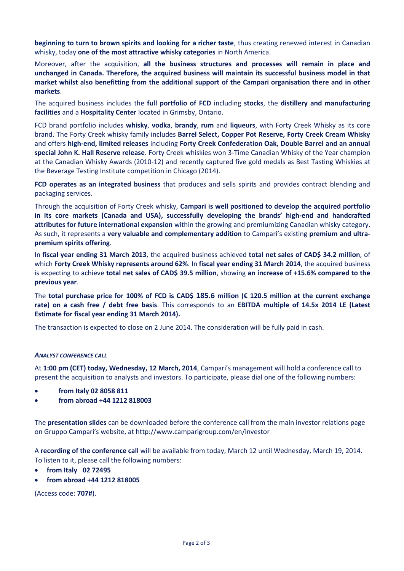**beginning to turn to brown spirits and looking for a richer taste**, thus creating renewed interest in Canadian whisky, today **one of the most attractive whisky categories** in North America.

Moreover, after the acquisition, **all the business structures and processes will remain in place and unchanged in Canada. Therefore, the acquired business will maintain its successful business model in that market whilst also benefitting from the additional support of the Campari organisation there and in other markets**.

The acquired business includes the **full portfolio of FCD** including **stocks**, the **distillery and manufacturing facilities** and a **Hospitality Center** located in Grimsby, Ontario.

FCD brand portfolio includes **whisky**, **vodka**, **brandy**, **rum** and **liqueurs**, with Forty Creek Whisky as its core brand. The Forty Creek whisky family includes **Barrel Select, Copper Pot Reserve, Forty Creek Cream Whisky** and offers **high-end, limited releases** including **Forty Creek Confederation Oak, Double Barrel and an annual special John K. Hall Reserve release**. Forty Creek whiskies won 3-Time Canadian Whisky of the Year champion at the Canadian Whisky Awards (2010-12) and recently captured five gold medals as Best Tasting Whiskies at the Beverage Testing Institute competition in Chicago (2014).

**FCD operates as an integrated business** that produces and sells spirits and provides contract blending and packaging services.

Through the acquisition of Forty Creek whisky, **Campari is well positioned to develop the acquired portfolio in its core markets (Canada and USA), successfully developing the brands' high-end and handcrafted attributes for future international expansion** within the growing and premiumizing Canadian whisky category. As such, it represents a **very valuable and complementary addition** to Campari's existing **premium and ultrapremium spirits offering**.

In **fiscal year ending 31 March 2013**, the acquired business achieved **total net sales of CAD\$ 34.2 million**, of which **Forty Creek Whisky represents around 62%**. In **fiscal year ending 31 March 2014**, the acquired business is expecting to achieve **total net sales of CAD\$ 39.5 million**, showing **an increase of +15.6% compared to the previous year**.

The **total purchase price for 100% of FCD is CAD\$ 185.6 million (€ 120.5 million at the current exchange rate) on a cash free / debt free basis**. This corresponds to an **EBITDA multiple of 14.5x 2014 LE (Latest Estimate for fiscal year ending 31 March 2014).**

The transaction is expected to close on 2 June 2014. The consideration will be fully paid in cash.

### *ANALYST CONFERENCE CALL*

At **1:00 pm (CET) today, Wednesday, 12 March, 2014**, Campari's management will hold a conference call to present the acquisition to analysts and investors. To participate, please dial one of the following numbers:

- **from Italy 02 8058 811**
- **from abroad +44 1212 818003**

The **presentation slides** can be downloaded before the conference call from the main investor relations page on Gruppo Campari's website, at <http://www.camparigroup.com/en/investor>

A **recording of the conference call** will be available from today, March 12 until Wednesday, March 19, 2014. To listen to it, please call the following numbers:

- **from Italy 02 72495**
- **from abroad +44 1212 818005**

(Access code: **707#**).